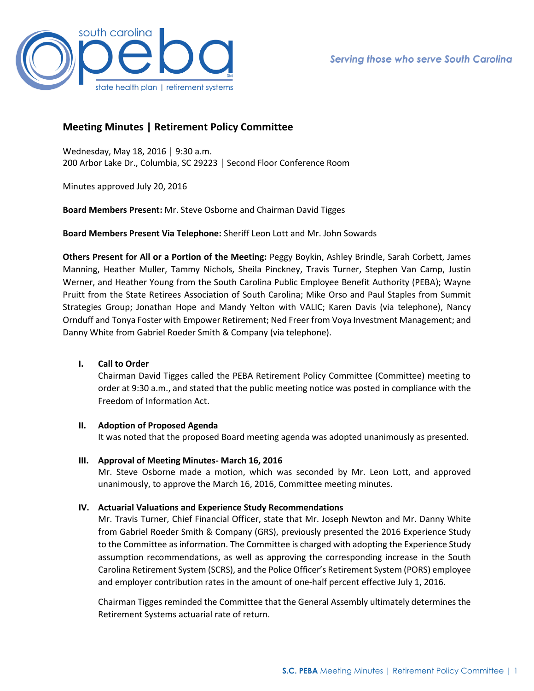

# **Meeting Minutes | Retirement Policy Committee**

Wednesday, May 18, 2016 │ 9:30 a.m. 200 Arbor Lake Dr., Columbia, SC 29223 │ Second Floor Conference Room

Minutes approved July 20, 2016

**Board Members Present:** Mr. Steve Osborne and Chairman David Tigges

**Board Members Present Via Telephone:** Sheriff Leon Lott and Mr. John Sowards

**Others Present for All or a Portion of the Meeting:** Peggy Boykin, Ashley Brindle, Sarah Corbett, James Manning, Heather Muller, Tammy Nichols, Sheila Pinckney, Travis Turner, Stephen Van Camp, Justin Werner, and Heather Young from the South Carolina Public Employee Benefit Authority (PEBA); Wayne Pruitt from the State Retirees Association of South Carolina; Mike Orso and Paul Staples from Summit Strategies Group; Jonathan Hope and Mandy Yelton with VALIC; Karen Davis (via telephone), Nancy Ornduff and Tonya Foster with Empower Retirement; Ned Freer from Voya Investment Management; and Danny White from Gabriel Roeder Smith & Company (via telephone).

## **I. Call to Order**

Chairman David Tigges called the PEBA Retirement Policy Committee (Committee) meeting to order at 9:30 a.m., and stated that the public meeting notice was posted in compliance with the Freedom of Information Act.

## **II. Adoption of Proposed Agenda**

It was noted that the proposed Board meeting agenda was adopted unanimously as presented.

**III. Approval of Meeting Minutes- March 16, 2016**

Mr. Steve Osborne made a motion, which was seconded by Mr. Leon Lott, and approved unanimously, to approve the March 16, 2016, Committee meeting minutes.

## **IV. Actuarial Valuations and Experience Study Recommendations**

Mr. Travis Turner, Chief Financial Officer, state that Mr. Joseph Newton and Mr. Danny White from Gabriel Roeder Smith & Company (GRS), previously presented the 2016 Experience Study to the Committee as information. The Committee is charged with adopting the Experience Study assumption recommendations, as well as approving the corresponding increase in the South Carolina Retirement System (SCRS), and the Police Officer's Retirement System (PORS) employee and employer contribution rates in the amount of one-half percent effective July 1, 2016.

Chairman Tigges reminded the Committee that the General Assembly ultimately determines the Retirement Systems actuarial rate of return.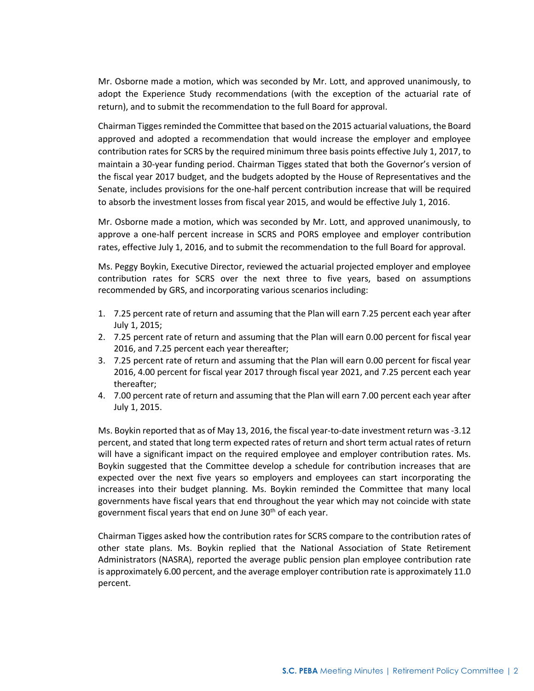Mr. Osborne made a motion, which was seconded by Mr. Lott, and approved unanimously, to adopt the Experience Study recommendations (with the exception of the actuarial rate of return), and to submit the recommendation to the full Board for approval.

Chairman Tigges reminded the Committee that based on the 2015 actuarial valuations, the Board approved and adopted a recommendation that would increase the employer and employee contribution rates for SCRS by the required minimum three basis points effective July 1, 2017, to maintain a 30-year funding period. Chairman Tigges stated that both the Governor's version of the fiscal year 2017 budget, and the budgets adopted by the House of Representatives and the Senate, includes provisions for the one-half percent contribution increase that will be required to absorb the investment losses from fiscal year 2015, and would be effective July 1, 2016.

Mr. Osborne made a motion, which was seconded by Mr. Lott, and approved unanimously, to approve a one-half percent increase in SCRS and PORS employee and employer contribution rates, effective July 1, 2016, and to submit the recommendation to the full Board for approval.

Ms. Peggy Boykin, Executive Director, reviewed the actuarial projected employer and employee contribution rates for SCRS over the next three to five years, based on assumptions recommended by GRS, and incorporating various scenarios including:

- 1. 7.25 percent rate of return and assuming that the Plan will earn 7.25 percent each year after July 1, 2015;
- 2. 7.25 percent rate of return and assuming that the Plan will earn 0.00 percent for fiscal year 2016, and 7.25 percent each year thereafter;
- 3. 7.25 percent rate of return and assuming that the Plan will earn 0.00 percent for fiscal year 2016, 4.00 percent for fiscal year 2017 through fiscal year 2021, and 7.25 percent each year thereafter;
- 4. 7.00 percent rate of return and assuming that the Plan will earn 7.00 percent each year after July 1, 2015.

Ms. Boykin reported that as of May 13, 2016, the fiscal year-to-date investment return was -3.12 percent, and stated that long term expected rates of return and short term actual rates of return will have a significant impact on the required employee and employer contribution rates. Ms. Boykin suggested that the Committee develop a schedule for contribution increases that are expected over the next five years so employers and employees can start incorporating the increases into their budget planning. Ms. Boykin reminded the Committee that many local governments have fiscal years that end throughout the year which may not coincide with state government fiscal years that end on June  $30<sup>th</sup>$  of each year.

Chairman Tigges asked how the contribution rates for SCRS compare to the contribution rates of other state plans. Ms. Boykin replied that the National Association of State Retirement Administrators (NASRA), reported the average public pension plan employee contribution rate is approximately 6.00 percent, and the average employer contribution rate is approximately 11.0 percent.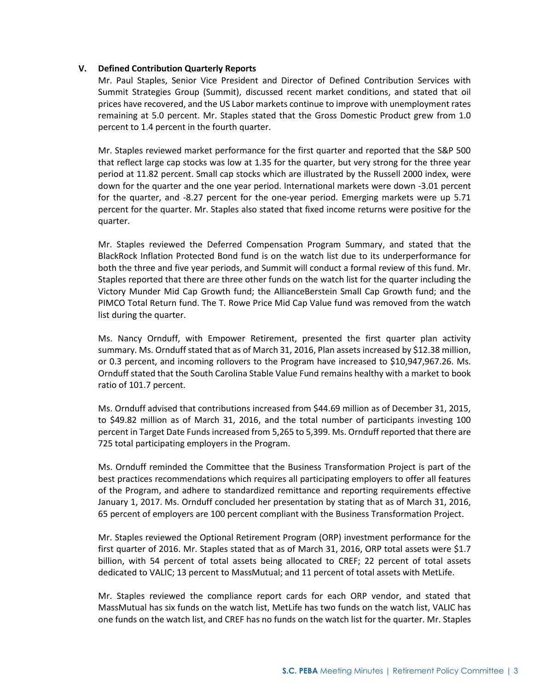## **V. Defined Contribution Quarterly Reports**

Mr. Paul Staples, Senior Vice President and Director of Defined Contribution Services with Summit Strategies Group (Summit), discussed recent market conditions, and stated that oil prices have recovered, and the US Labor markets continue to improve with unemployment rates remaining at 5.0 percent. Mr. Staples stated that the Gross Domestic Product grew from 1.0 percent to 1.4 percent in the fourth quarter.

Mr. Staples reviewed market performance for the first quarter and reported that the S&P 500 that reflect large cap stocks was low at 1.35 for the quarter, but very strong for the three year period at 11.82 percent. Small cap stocks which are illustrated by the Russell 2000 index, were down for the quarter and the one year period. International markets were down -3.01 percent for the quarter, and -8.27 percent for the one-year period. Emerging markets were up 5.71 percent for the quarter. Mr. Staples also stated that fixed income returns were positive for the quarter.

Mr. Staples reviewed the Deferred Compensation Program Summary, and stated that the BlackRock Inflation Protected Bond fund is on the watch list due to its underperformance for both the three and five year periods, and Summit will conduct a formal review of this fund. Mr. Staples reported that there are three other funds on the watch list for the quarter including the Victory Munder Mid Cap Growth fund; the AllianceBerstein Small Cap Growth fund; and the PIMCO Total Return fund. The T. Rowe Price Mid Cap Value fund was removed from the watch list during the quarter.

Ms. Nancy Ornduff, with Empower Retirement, presented the first quarter plan activity summary. Ms. Ornduff stated that as of March 31, 2016, Plan assets increased by \$12.38 million, or 0.3 percent, and incoming rollovers to the Program have increased to \$10,947,967.26. Ms. Ornduff stated that the South Carolina Stable Value Fund remains healthy with a market to book ratio of 101.7 percent.

Ms. Ornduff advised that contributions increased from \$44.69 million as of December 31, 2015, to \$49.82 million as of March 31, 2016, and the total number of participants investing 100 percent in Target Date Funds increased from 5,265 to 5,399. Ms. Ornduff reported that there are 725 total participating employers in the Program.

Ms. Ornduff reminded the Committee that the Business Transformation Project is part of the best practices recommendations which requires all participating employers to offer all features of the Program, and adhere to standardized remittance and reporting requirements effective January 1, 2017. Ms. Ornduff concluded her presentation by stating that as of March 31, 2016, 65 percent of employers are 100 percent compliant with the Business Transformation Project.

Mr. Staples reviewed the Optional Retirement Program (ORP) investment performance for the first quarter of 2016. Mr. Staples stated that as of March 31, 2016, ORP total assets were \$1.7 billion, with 54 percent of total assets being allocated to CREF; 22 percent of total assets dedicated to VALIC; 13 percent to MassMutual; and 11 percent of total assets with MetLife.

Mr. Staples reviewed the compliance report cards for each ORP vendor, and stated that MassMutual has six funds on the watch list, MetLife has two funds on the watch list, VALIC has one funds on the watch list, and CREF has no funds on the watch list for the quarter. Mr. Staples